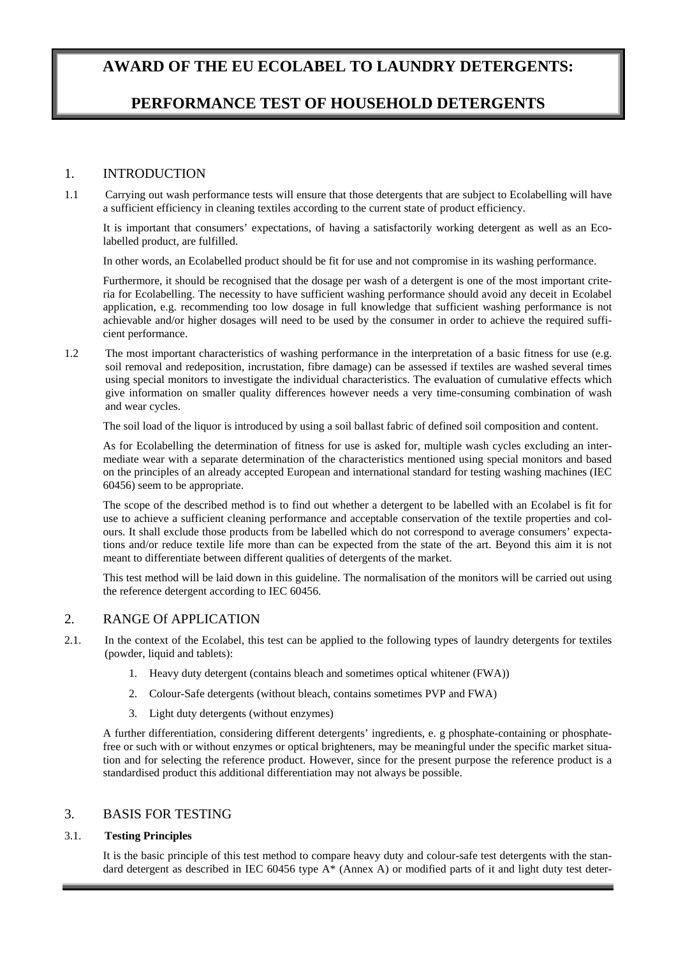# **AWARD OF THE EU ECOLABEL TO LAUNDRY DETERGENTS:**

# **PERFORMANCE TEST OF HOUSEHOLD DETERGENTS**

# 1. INTRODUCTION

1.1 Carrying out wash performance tests will ensure that those detergents that are subject to Ecolabelling will have a sufficient efficiency in cleaning textiles according to the current state of product efficiency.

It is important that consumers' expectations, of having a satisfactorily working detergent as well as an Ecolabelled product, are fulfilled.

In other words, an Ecolabelled product should be fit for use and not compromise in its washing performance.

Furthermore, it should be recognised that the dosage per wash of a detergent is one of the most important criteria for Ecolabelling. The necessity to have sufficient washing performance should avoid any deceit in Ecolabel application, e.g. recommending too low dosage in full knowledge that sufficient washing performance is not achievable and/or higher dosages will need to be used by the consumer in order to achieve the required sufficient performance.

1.2 The most important characteristics of washing performance in the interpretation of a basic fitness for use (e.g. soil removal and redeposition, incrustation, fibre damage) can be assessed if textiles are washed several times using special monitors to investigate the individual characteristics. The evaluation of cumulative effects which give information on smaller quality differences however needs a very time-consuming combination of wash and wear cycles.

The soil load of the liquor is introduced by using a soil ballast fabric of defined soil composition and content.

As for Ecolabelling the determination of fitness for use is asked for, multiple wash cycles excluding an intermediate wear with a separate determination of the characteristics mentioned using special monitors and based on the principles of an already accepted European and international standard for testing washing machines (IEC 60456) seem to be appropriate.

The scope of the described method is to find out whether a detergent to be labelled with an Ecolabel is fit for use to achieve a sufficient cleaning performance and acceptable conservation of the textile properties and colours. It shall exclude those products from be labelled which do not correspond to average consumers' expectations and/or reduce textile life more than can be expected from the state of the art. Beyond this aim it is not meant to differentiate between different qualities of detergents of the market.

This test method will be laid down in this guideline. The normalisation of the monitors will be carried out using the reference detergent according to IEC 60456.

# 2. RANGE Of APPLICATION

2.1. In the context of the Ecolabel, this test can be applied to the following types of laundry detergents for textiles (powder, liquid and tablets):

- 1. Heavy duty detergent (contains bleach and sometimes optical whitener (FWA))
- 2. Colour-Safe detergents (without bleach, contains sometimes PVP and FWA)
- 3. Light duty detergents (without enzymes)

A further differentiation, considering different detergents' ingredients, e. g phosphate-containing or phosphatefree or such with or without enzymes or optical brighteners, may be meaningful under the specific market situation and for selecting the reference product. However, since for the present purpose the reference product is a standardised product this additional differentiation may not always be possible.

# 3. BASIS FOR TESTING

#### 3.1. **Testing Principles**

It is the basic principle of this test method to compare heavy duty and colour-safe test detergents with the standard detergent as described in IEC 60456 type A\* (Annex A) or modified parts of it and light duty test deter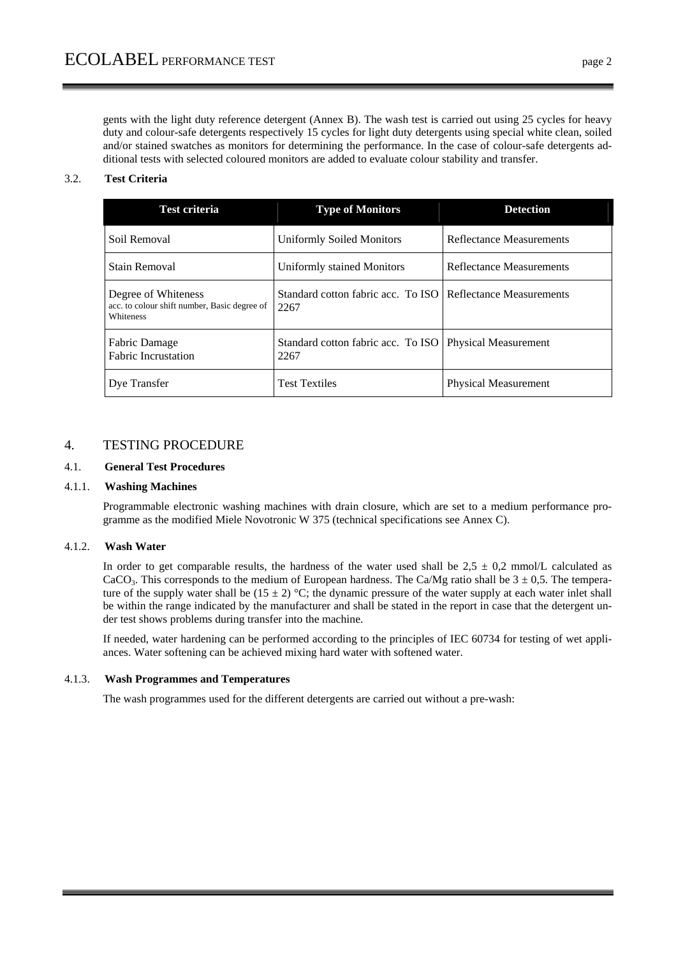gents with the light duty reference detergent (Annex B). The wash test is carried out using 25 cycles for heavy duty and colour-safe detergents respectively 15 cycles for light duty detergents using special white clean, soiled and/or stained swatches as monitors for determining the performance. In the case of colour-safe detergents additional tests with selected coloured monitors are added to evaluate colour stability and transfer.

# 3.2. **Test Criteria**

| <b>Test criteria</b>                                                             | <b>Type of Monitors</b>                                               | <b>Detection</b>            |
|----------------------------------------------------------------------------------|-----------------------------------------------------------------------|-----------------------------|
| Soil Removal                                                                     | <b>Uniformly Soiled Monitors</b>                                      | Reflectance Measurements    |
| Stain Removal                                                                    | Uniformly stained Monitors                                            | Reflectance Measurements    |
| Degree of Whiteness<br>acc. to colour shift number, Basic degree of<br>Whiteness | Standard cotton fabric acc. To ISO   Reflectance Measurements<br>2267 |                             |
| Fabric Damage<br><b>Fabric Incrustation</b>                                      | Standard cotton fabric acc. To ISO<br>2267                            | <b>Physical Measurement</b> |
| Dye Transfer                                                                     | <b>Test Textiles</b>                                                  | <b>Physical Measurement</b> |

# 4. TESTING PROCEDURE

# 4.1. **General Test Procedures**

#### 4.1.1. **Washing Machines**

Programmable electronic washing machines with drain closure, which are set to a medium performance programme as the modified Miele Novotronic W 375 (technical specifications see Annex C).

#### 4.1.2. **Wash Water**

In order to get comparable results, the hardness of the water used shall be  $2.5 \pm 0.2$  mmol/L calculated as CaCO<sub>3</sub>. This corresponds to the medium of European hardness. The Ca/Mg ratio shall be  $3 \pm 0.5$ . The temperature of the supply water shall be  $(15 \pm 2)$  °C; the dynamic pressure of the water supply at each water inlet shall be within the range indicated by the manufacturer and shall be stated in the report in case that the detergent under test shows problems during transfer into the machine.

If needed, water hardening can be performed according to the principles of IEC 60734 for testing of wet appliances. Water softening can be achieved mixing hard water with softened water.

#### 4.1.3. **Wash Programmes and Temperatures**

The wash programmes used for the different detergents are carried out without a pre-wash: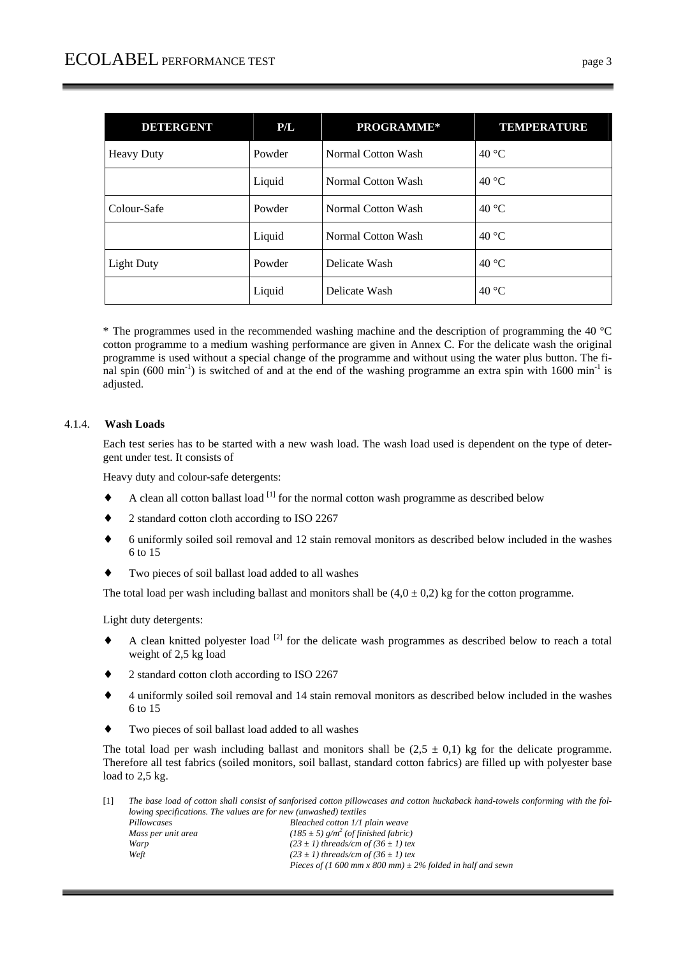| <b>DETERGENT</b>  | P/L    | PROGRAMME*         | <b>TEMPERATURE</b> |
|-------------------|--------|--------------------|--------------------|
| <b>Heavy Duty</b> | Powder | Normal Cotton Wash | 40 °C              |
|                   | Liquid | Normal Cotton Wash | 40 °C              |
| Colour-Safe       | Powder | Normal Cotton Wash | 40 °C              |
|                   | Liquid | Normal Cotton Wash | 40 °C              |
| <b>Light Duty</b> | Powder | Delicate Wash      | 40 $\degree$ C     |
|                   | Liquid | Delicate Wash      | 40 $\degree$ C     |

\* The programmes used in the recommended washing machine and the description of programming the 40 °C cotton programme to a medium washing performance are given in Annex C. For the delicate wash the original programme is used without a special change of the programme and without using the water plus button. The final spin (600 min<sup>-1</sup>) is switched of and at the end of the washing programme an extra spin with 1600 min<sup>-1</sup> is adjusted.

# 4.1.4. **Wash Loads**

Each test series has to be started with a new wash load. The wash load used is dependent on the type of detergent under test. It consists of

Heavy duty and colour-safe detergents:

- A clean all cotton ballast load  $[1]$  for the normal cotton wash programme as described below
- 2 standard cotton cloth according to ISO 2267
- ♦ 6 uniformly soiled soil removal and 12 stain removal monitors as described below included in the washes 6 to 15
- Two pieces of soil ballast load added to all washes

The total load per wash including ballast and monitors shall be  $(4.0 \pm 0.2)$  kg for the cotton programme.

Light duty detergents:

- A clean knitted polyester load  $^{[2]}$  for the delicate wash programmes as described below to reach a total weight of 2,5 kg load
- 2 standard cotton cloth according to ISO 2267
- ♦ 4 uniformly soiled soil removal and 14 stain removal monitors as described below included in the washes 6 to 15
- Two pieces of soil ballast load added to all washes

The total load per wash including ballast and monitors shall be  $(2,5 \pm 0,1)$  kg for the delicate programme. Therefore all test fabrics (soiled monitors, soil ballast, standard cotton fabrics) are filled up with polyester base load to 2,5 kg.

[1] *The base load of cotton shall consist of sanforised cotton pillowcases and cotton huckaback hand-towels conforming with the following specifications. The values are for new (unwashed) textiles Pillowcases Bleached cotton 1/1 plain weave Mass per unit area*  $(185 \pm 5)$  g/m<sup>2</sup> (of finished fabric) *Warp*  $(23 \pm 1)$  threads/cm of  $(36 \pm 1)$  tex **Weft**  $(23 \pm 1)$  threads/cm of  $(36 \pm 1)$  tex  $(23 \pm 1)$  threads/cm of  $(36 \pm 1)$  tex  *Pieces of (1 600 mm x 800 mm) ± 2% folded in half and sewn*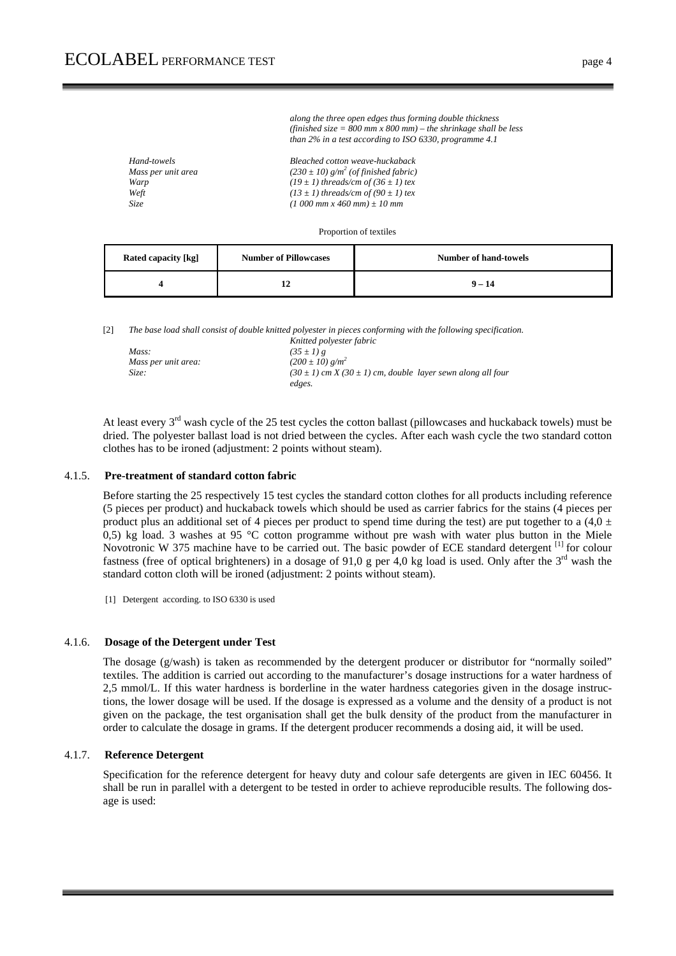| Hand-towels        | Bleached cotton weave-huckaback                      |
|--------------------|------------------------------------------------------|
| Mass per unit area | $(230 \pm 10)$ g/m <sup>2</sup> (of finished fabric) |
| Warp               | $(19 \pm 1)$ threads/cm of $(36 \pm 1)$ tex          |
| Weft               | $(13 \pm 1)$ threads/cm of $(90 \pm 1)$ tex          |
| Size               | $(1\ 000\ mm\ x\ 460\ mm) \pm 10\ mm$                |
|                    |                                                      |

Proportion of textiles

 *along the three open edges thus forming double thickness (finished size = 800 mm x 800 mm) – the shrinkage shall be less than 2% in a test according to ISO 6330, programme 4.1* 

| Rated capacity [kg] | <b>Number of Pillowcases</b> | Number of hand-towels |
|---------------------|------------------------------|-----------------------|
|                     |                              | $9 - 14$              |

[2] *The base load shall consist of double knitted polyester in pieces conforming with the following specification.* 

|                     | Knitted polyester fabric                                            |
|---------------------|---------------------------------------------------------------------|
| Mass:               | $(35 \pm 1) g$                                                      |
| Mass per unit area: | $(200 \pm 10)$ g/m <sup>2</sup>                                     |
| Size:               | $(30 \pm 1)$ cm X $(30 \pm 1)$ cm, double layer sewn along all four |
|                     | edges.                                                              |

At least every 3<sup>rd</sup> wash cycle of the 25 test cycles the cotton ballast (pillowcases and huckaback towels) must be dried. The polyester ballast load is not dried between the cycles. After each wash cycle the two standard cotton clothes has to be ironed (adjustment: 2 points without steam).

#### 4.1.5. **Pre-treatment of standard cotton fabric**

Before starting the 25 respectively 15 test cycles the standard cotton clothes for all products including reference (5 pieces per product) and huckaback towels which should be used as carrier fabrics for the stains (4 pieces per product plus an additional set of 4 pieces per product to spend time during the test) are put together to a  $(4.0 \pm 1)$ 0,5) kg load. 3 washes at 95 °C cotton programme without pre wash with water plus button in the Miele Novotronic W 375 machine have to be carried out. The basic powder of ECE standard detergent [1] for colour fastness (free of optical brighteners) in a dosage of 91,0 g per 4,0 kg load is used. Only after the  $3<sup>rd</sup>$  wash the standard cotton cloth will be ironed (adjustment: 2 points without steam).

[1] Detergent according. to ISO 6330 is used

#### 4.1.6. **Dosage of the Detergent under Test**

The dosage (g/wash) is taken as recommended by the detergent producer or distributor for "normally soiled" textiles. The addition is carried out according to the manufacturer's dosage instructions for a water hardness of 2,5 mmol/L. If this water hardness is borderline in the water hardness categories given in the dosage instructions, the lower dosage will be used. If the dosage is expressed as a volume and the density of a product is not given on the package, the test organisation shall get the bulk density of the product from the manufacturer in order to calculate the dosage in grams. If the detergent producer recommends a dosing aid, it will be used.

#### 4.1.7. **Reference Detergent**

Specification for the reference detergent for heavy duty and colour safe detergents are given in IEC 60456. It shall be run in parallel with a detergent to be tested in order to achieve reproducible results. The following dosage is used: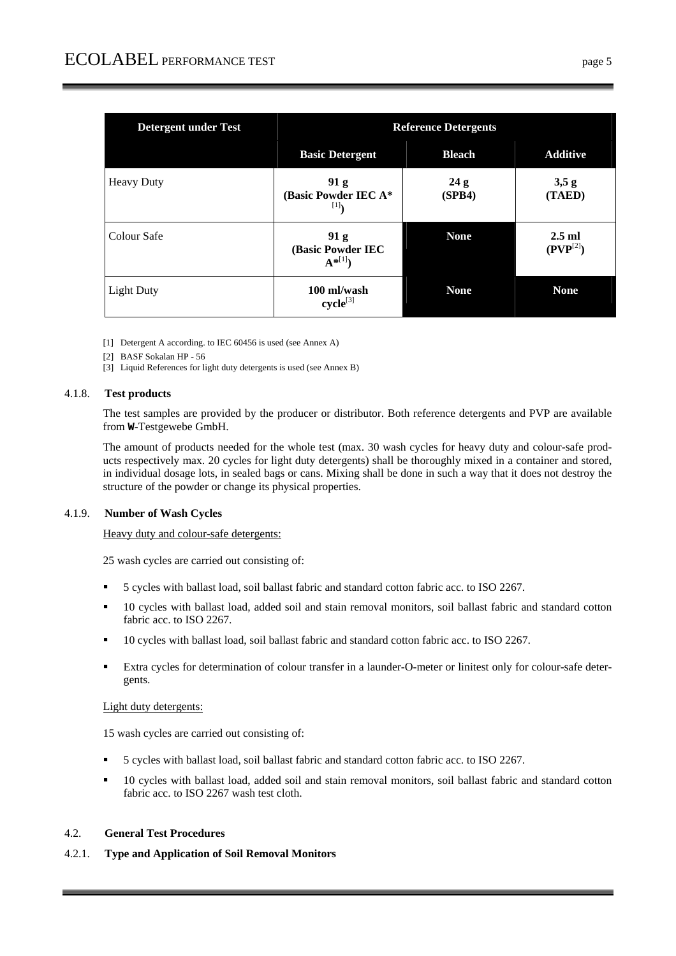| <b>Detergent under Test</b> | <b>Reference Detergents</b>             |               |                           |
|-----------------------------|-----------------------------------------|---------------|---------------------------|
|                             | <b>Basic Detergent</b>                  | <b>Bleach</b> | <b>Additive</b>           |
| <b>Heavy Duty</b>           | 91 g<br>(Basic Powder IEC A*<br>[1]     | 24g<br>(SPB4) | 3,5g<br>(TAED)            |
| Colour Safe                 | 91 g<br>(Basic Powder IEC<br>$A^{*[1]}$ | <b>None</b>   | $2.5$ ml<br>$(PVP^{[2]})$ |
| <b>Light Duty</b>           | 100 ml/wash<br>$cycle^{[3]}$            | <b>None</b>   | <b>None</b>               |

- [1] Detergent A according. to IEC 60456 is used (see Annex A)
- [2] BASF Sokalan HP 56
- [3] Liquid References for light duty detergents is used (see Annex B)

#### 4.1.8. **Test products**

The test samples are provided by the producer or distributor. Both reference detergents and PVP are available from **W**-Testgewebe GmbH.

The amount of products needed for the whole test (max. 30 wash cycles for heavy duty and colour-safe products respectively max. 20 cycles for light duty detergents) shall be thoroughly mixed in a container and stored, in individual dosage lots, in sealed bags or cans. Mixing shall be done in such a way that it does not destroy the structure of the powder or change its physical properties.

#### 4.1.9. **Number of Wash Cycles**

Heavy duty and colour-safe detergents:

25 wash cycles are carried out consisting of:

- 5 cycles with ballast load, soil ballast fabric and standard cotton fabric acc. to ISO 2267.
- 10 cycles with ballast load, added soil and stain removal monitors, soil ballast fabric and standard cotton fabric acc. to ISO 2267.
- 10 cycles with ballast load, soil ballast fabric and standard cotton fabric acc. to ISO 2267.
- Extra cycles for determination of colour transfer in a launder-O-meter or linitest only for colour-safe detergents.

#### Light duty detergents:

15 wash cycles are carried out consisting of:

- 5 cycles with ballast load, soil ballast fabric and standard cotton fabric acc. to ISO 2267.
- 10 cycles with ballast load, added soil and stain removal monitors, soil ballast fabric and standard cotton fabric acc. to ISO 2267 wash test cloth.

# 4.2. **General Test Procedures**

4.2.1. **Type and Application of Soil Removal Monitors**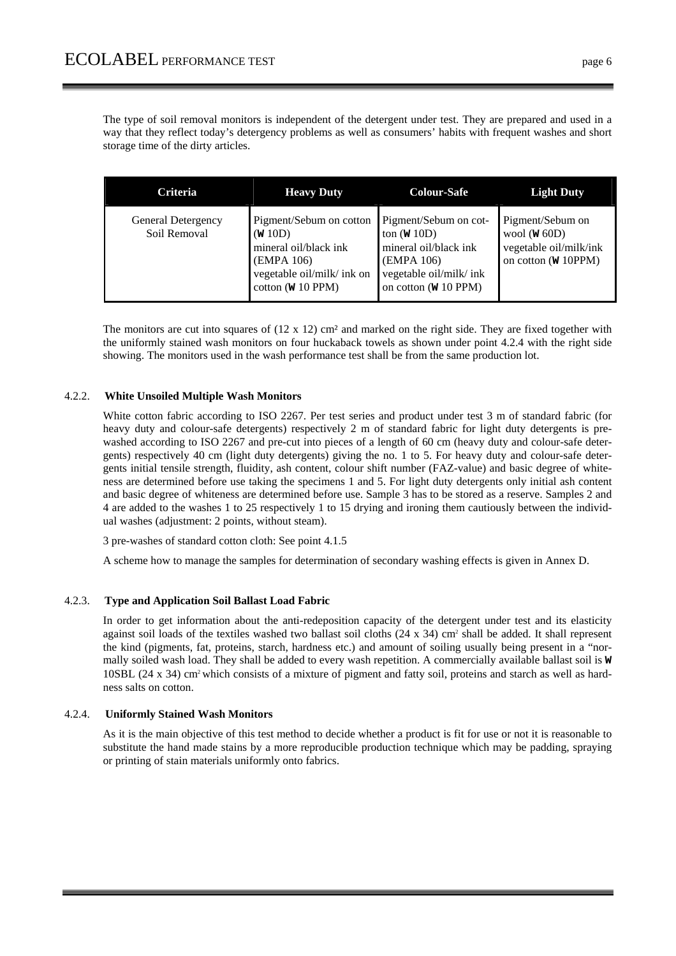The type of soil removal monitors is independent of the detergent under test. They are prepared and used in a way that they reflect today's detergency problems as well as consumers' habits with frequent washes and short storage time of the dirty articles.

| <b>Criteria</b>                    | <b>Heavy Duty</b>                                                                                                                               | <b>Colour-Safe</b>                                                                                                                                  | <b>Light Duty</b>                                                                                   |
|------------------------------------|-------------------------------------------------------------------------------------------------------------------------------------------------|-----------------------------------------------------------------------------------------------------------------------------------------------------|-----------------------------------------------------------------------------------------------------|
| General Detergency<br>Soil Removal | Pigment/Sebum on cotton<br>(W 10D)<br>mineral oil/black ink<br>(EMPA 106)<br>vegetable oil/milk/ ink on<br>cotton $(\mathbf{W} 10 \text{ PPM})$ | Pigment/Sebum on cot-<br>ton $(W 10D)$<br>mineral oil/black ink<br>(EMPA 106)<br>vegetable oil/milk/ ink<br>on cotton $(\mathbf{W} 10 \text{ PPM})$ | Pigment/Sebum on<br>wool ( $W$ 60D)<br>vegetable oil/milk/ink<br>on cotton $(\mathbf{W} 10$ PPM $)$ |

The monitors are cut into squares of  $(12 \times 12)$  cm<sup>2</sup> and marked on the right side. They are fixed together with the uniformly stained wash monitors on four huckaback towels as shown under point 4.2.4 with the right side showing. The monitors used in the wash performance test shall be from the same production lot.

### 4.2.2. **White Unsoiled Multiple Wash Monitors**

White cotton fabric according to ISO 2267. Per test series and product under test 3 m of standard fabric (for heavy duty and colour-safe detergents) respectively 2 m of standard fabric for light duty detergents is prewashed according to ISO 2267 and pre-cut into pieces of a length of 60 cm (heavy duty and colour-safe detergents) respectively 40 cm (light duty detergents) giving the no. 1 to 5. For heavy duty and colour-safe detergents initial tensile strength, fluidity, ash content, colour shift number (FAZ-value) and basic degree of whiteness are determined before use taking the specimens 1 and 5. For light duty detergents only initial ash content and basic degree of whiteness are determined before use. Sample 3 has to be stored as a reserve. Samples 2 and 4 are added to the washes 1 to 25 respectively 1 to 15 drying and ironing them cautiously between the individual washes (adjustment: 2 points, without steam).

3 pre-washes of standard cotton cloth: See point 4.1.5

A scheme how to manage the samples for determination of secondary washing effects is given in Annex D.

#### 4.2.3. **Type and Application Soil Ballast Load Fabric**

In order to get information about the anti-redeposition capacity of the detergent under test and its elasticity against soil loads of the textiles washed two ballast soil cloths (24 x 34) cm<sup>2</sup> shall be added. It shall represent the kind (pigments, fat, proteins, starch, hardness etc.) and amount of soiling usually being present in a "normally soiled wash load. They shall be added to every wash repetition. A commercially available ballast soil is **W**  $10SBL$  (24 x 34) cm<sup>2</sup> which consists of a mixture of pigment and fatty soil, proteins and starch as well as hardness salts on cotton.

#### 4.2.4. **Uniformly Stained Wash Monitors**

As it is the main objective of this test method to decide whether a product is fit for use or not it is reasonable to substitute the hand made stains by a more reproducible production technique which may be padding, spraying or printing of stain materials uniformly onto fabrics.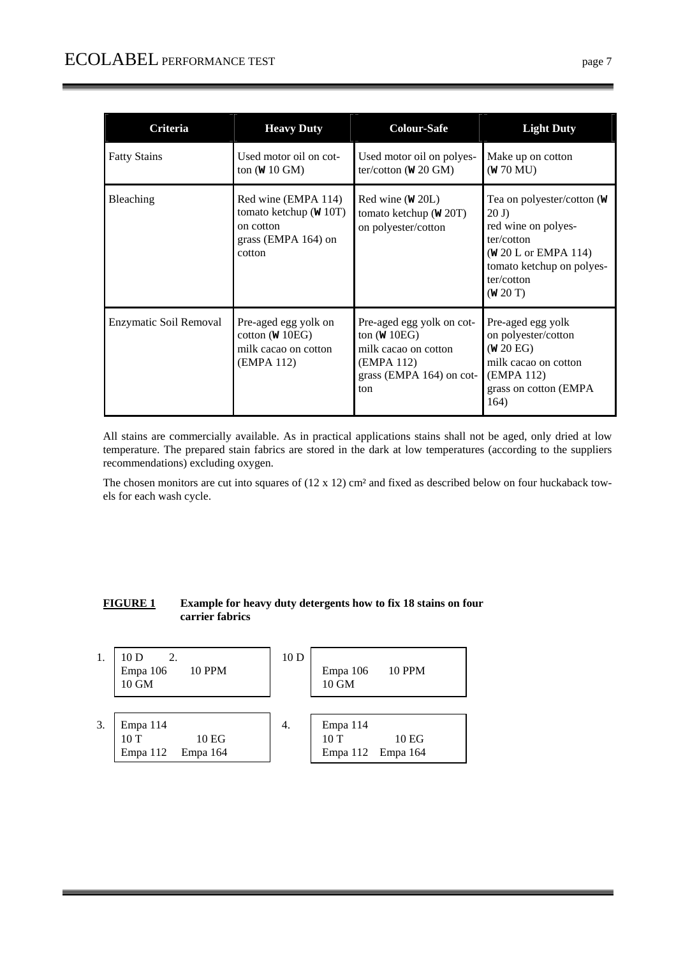| Criteria               | <b>Heavy Duty</b>                                                                             | <b>Colour-Safe</b>                                                                                                   | <b>Light Duty</b>                                                                                                                                            |
|------------------------|-----------------------------------------------------------------------------------------------|----------------------------------------------------------------------------------------------------------------------|--------------------------------------------------------------------------------------------------------------------------------------------------------------|
| <b>Fatty Stains</b>    | Used motor oil on cot-<br>ton $(W 10$ GM)                                                     | Used motor oil on polyes-<br>ter/cotton $(\mathbf{W} 20 \text{ GM})$                                                 | Make up on cotton<br>(W 70 MU)                                                                                                                               |
| <b>Bleaching</b>       | Red wine (EMPA 114)<br>tomato ketchup $(W 10T)$<br>on cotton<br>grass (EMPA 164) on<br>cotton | $Red$ wine $(W 20L)$<br>tomato ketchup ( $W$ 20T)<br>on polyester/cotton                                             | Tea on polyester/cotton (W<br>20J<br>red wine on polyes-<br>ter/cotton<br>( <b>W</b> 20 L or EMPA 114)<br>tomato ketchup on polyes-<br>ter/cotton<br>(w 20T) |
| Enzymatic Soil Removal | Pre-aged egg yolk on<br>cotton ( $W$ 10EG)<br>milk cacao on cotton<br>(EMPA 112)              | Pre-aged egg yolk on cot-<br>ton $(W 10EG)$<br>milk cacao on cotton<br>(EMPA 112)<br>grass (EMPA 164) on cot-<br>ton | Pre-aged egg yolk<br>on polyester/cotton<br>(w 20 EG)<br>milk cacao on cotton<br>(EMPA 112)<br>grass on cotton (EMPA)<br>164)                                |

All stains are commercially available. As in practical applications stains shall not be aged, only dried at low temperature. The prepared stain fabrics are stored in the dark at low temperatures (according to the suppliers recommendations) excluding oxygen.

The chosen monitors are cut into squares of (12 x 12) cm² and fixed as described below on four huckaback towels for each wash cycle.

# **FIGURE 1 Example for heavy duty detergents how to fix 18 stains on four carrier fabrics**

| 1. | 10D<br>2.<br><b>10 PPM</b><br>Empa 106<br>10 GM  | 10 <sub>D</sub> | <b>10 PPM</b><br>Empa 106<br>10 GM                       |
|----|--------------------------------------------------|-----------------|----------------------------------------------------------|
| 3. | Empa 114<br>10T<br>10 EG<br>Empa 112<br>Empa 164 | 4.              | Empa 114<br>10T<br>10 <sub>EG</sub><br>Empa 112 Empa 164 |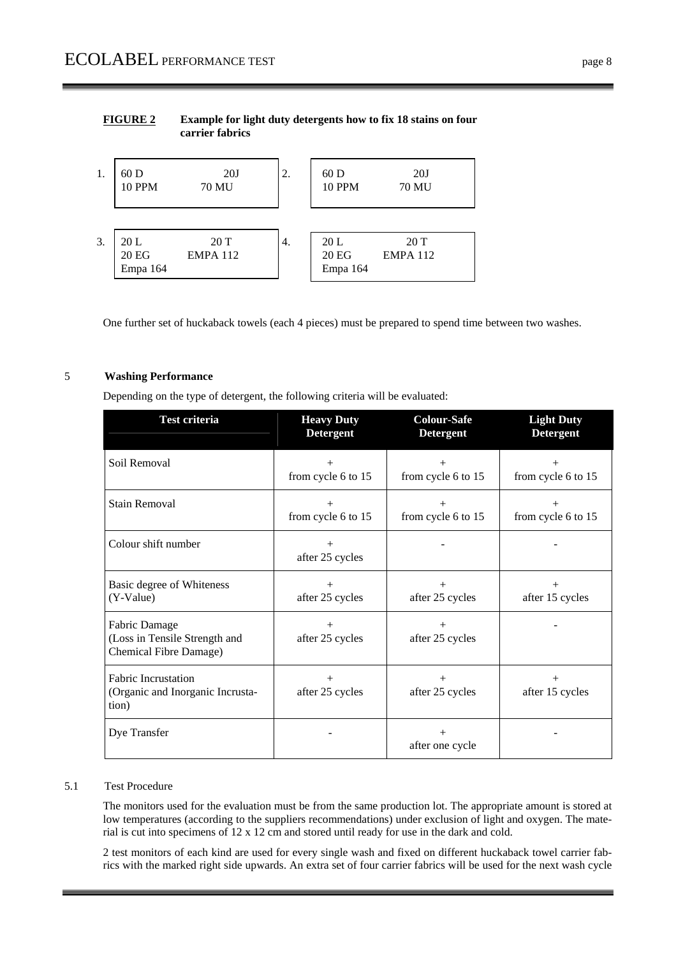# **FIGURE 2 Example for light duty detergents how to fix 18 stains on four carrier fabrics**



One further set of huckaback towels (each 4 pieces) must be prepared to spend time between two washes.

# 5 **Washing Performance**

Depending on the type of detergent, the following criteria will be evaluated:

| Test criteria                                                            | <b>Heavy Duty</b><br><b>Detergent</b> | <b>Colour-Safe</b><br><b>Detergent</b> | <b>Light Duty</b><br><b>Detergent</b> |
|--------------------------------------------------------------------------|---------------------------------------|----------------------------------------|---------------------------------------|
| Soil Removal                                                             | $^{+}$<br>from cycle 6 to 15          | from cycle 6 to 15                     | $^+$<br>from cycle 6 to 15            |
| <b>Stain Removal</b>                                                     | from cycle 6 to 15                    | $^{+}$<br>from cycle 6 to 15           | from cycle 6 to 15                    |
| Colour shift number                                                      | $^{+}$<br>after 25 cycles             |                                        |                                       |
| Basic degree of Whiteness<br>(Y-Value)                                   | $^{+}$<br>after 25 cycles             | after 25 cycles                        | after 15 cycles                       |
| Fabric Damage<br>(Loss in Tensile Strength and<br>Chemical Fibre Damage) | after 25 cycles                       | $^{+}$<br>after 25 cycles              |                                       |
| <b>Fabric Incrustation</b><br>(Organic and Inorganic Incrusta-<br>tion)  | $^{+}$<br>after 25 cycles             | $^{+}$<br>after 25 cycles              | $^+$<br>after 15 cycles               |
| Dye Transfer                                                             |                                       | $+$<br>after one cycle                 |                                       |

#### 5.1 Test Procedure

The monitors used for the evaluation must be from the same production lot. The appropriate amount is stored at low temperatures (according to the suppliers recommendations) under exclusion of light and oxygen. The material is cut into specimens of 12 x 12 cm and stored until ready for use in the dark and cold.

2 test monitors of each kind are used for every single wash and fixed on different huckaback towel carrier fabrics with the marked right side upwards. An extra set of four carrier fabrics will be used for the next wash cycle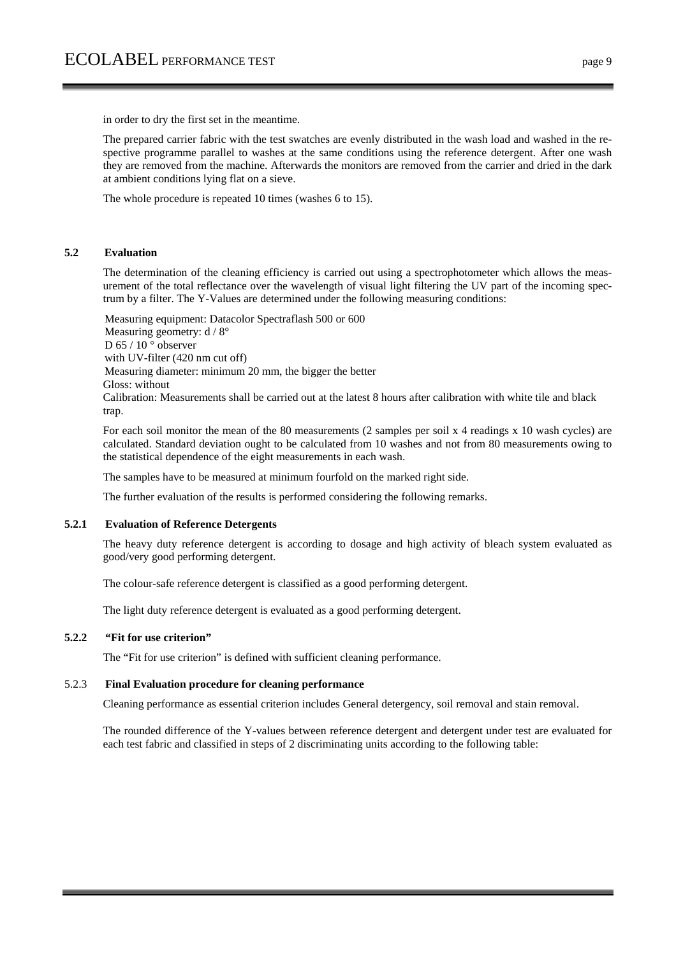in order to dry the first set in the meantime.

The prepared carrier fabric with the test swatches are evenly distributed in the wash load and washed in the respective programme parallel to washes at the same conditions using the reference detergent. After one wash they are removed from the machine. Afterwards the monitors are removed from the carrier and dried in the dark at ambient conditions lying flat on a sieve.

The whole procedure is repeated 10 times (washes 6 to 15).

#### **5.2 Evaluation**

The determination of the cleaning efficiency is carried out using a spectrophotometer which allows the measurement of the total reflectance over the wavelength of visual light filtering the UV part of the incoming spectrum by a filter. The Y-Values are determined under the following measuring conditions:

Measuring equipment: Datacolor Spectraflash 500 or 600 Measuring geometry: d / 8° D 65 / 10 $\degree$  observer with UV-filter (420 nm cut off) Measuring diameter: minimum 20 mm, the bigger the better Gloss: without Calibration: Measurements shall be carried out at the latest 8 hours after calibration with white tile and black trap.

For each soil monitor the mean of the 80 measurements (2 samples per soil x 4 readings x 10 wash cycles) are calculated. Standard deviation ought to be calculated from 10 washes and not from 80 measurements owing to the statistical dependence of the eight measurements in each wash.

The samples have to be measured at minimum fourfold on the marked right side.

The further evaluation of the results is performed considering the following remarks.

#### **5.2.1 Evaluation of Reference Detergents**

The heavy duty reference detergent is according to dosage and high activity of bleach system evaluated as good/very good performing detergent.

The colour-safe reference detergent is classified as a good performing detergent.

The light duty reference detergent is evaluated as a good performing detergent.

#### **5.2.2 "Fit for use criterion"**

The "Fit for use criterion" is defined with sufficient cleaning performance.

#### 5.2.3 **Final Evaluation procedure for cleaning performance**

Cleaning performance as essential criterion includes General detergency, soil removal and stain removal.

The rounded difference of the Y-values between reference detergent and detergent under test are evaluated for each test fabric and classified in steps of 2 discriminating units according to the following table: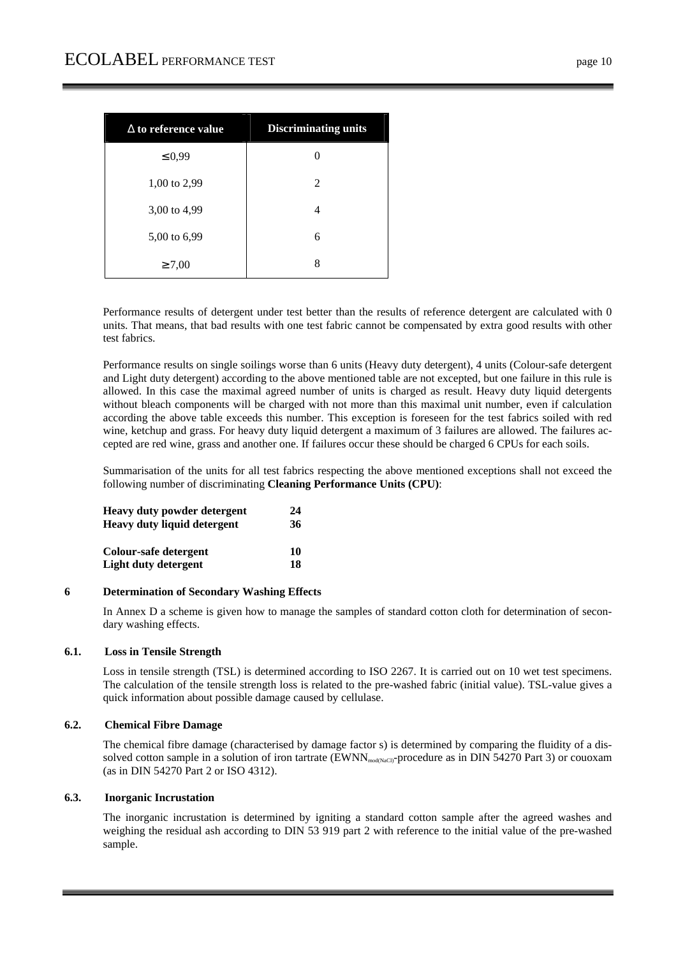| $\Delta$ to reference value | <b>Discriminating units</b> |
|-----------------------------|-----------------------------|
| $\leq 0.99$                 |                             |
| $1,00$ to $2,99$            | 2                           |
| 3,00 to 4,99                | 4                           |
| 5,00 to 6,99                | 6                           |
| $\geq 7,00$                 | 8                           |

Performance results of detergent under test better than the results of reference detergent are calculated with 0 units. That means, that bad results with one test fabric cannot be compensated by extra good results with other test fabrics.

Performance results on single soilings worse than 6 units (Heavy duty detergent), 4 units (Colour-safe detergent and Light duty detergent) according to the above mentioned table are not excepted, but one failure in this rule is allowed. In this case the maximal agreed number of units is charged as result. Heavy duty liquid detergents without bleach components will be charged with not more than this maximal unit number, even if calculation according the above table exceeds this number. This exception is foreseen for the test fabrics soiled with red wine, ketchup and grass. For heavy duty liquid detergent a maximum of 3 failures are allowed. The failures accepted are red wine, grass and another one. If failures occur these should be charged 6 CPUs for each soils.

Summarisation of the units for all test fabrics respecting the above mentioned exceptions shall not exceed the following number of discriminating **Cleaning Performance Units (CPU)**:

| <b>Heavy duty powder detergent</b> | 24 |
|------------------------------------|----|
| <b>Heavy duty liquid detergent</b> | 36 |
| Colour-safe detergent              | 10 |
| Light duty detergent               | 18 |

#### **6 Determination of Secondary Washing Effects**

In Annex D a scheme is given how to manage the samples of standard cotton cloth for determination of secondary washing effects.

#### **6.1. Loss in Tensile Strength**

Loss in tensile strength (TSL) is determined according to ISO 2267. It is carried out on 10 wet test specimens. The calculation of the tensile strength loss is related to the pre-washed fabric (initial value). TSL-value gives a quick information about possible damage caused by cellulase.

#### **6.2. Chemical Fibre Damage**

The chemical fibre damage (characterised by damage factor s) is determined by comparing the fluidity of a dissolved cotton sample in a solution of iron tartrate (EWNN<sub>mod(NaCl)</sub>-procedure as in DIN 54270 Part 3) or couoxam (as in DIN 54270 Part 2 or ISO 4312).

#### **6.3. Inorganic Incrustation**

The inorganic incrustation is determined by igniting a standard cotton sample after the agreed washes and weighing the residual ash according to DIN 53 919 part 2 with reference to the initial value of the pre-washed sample.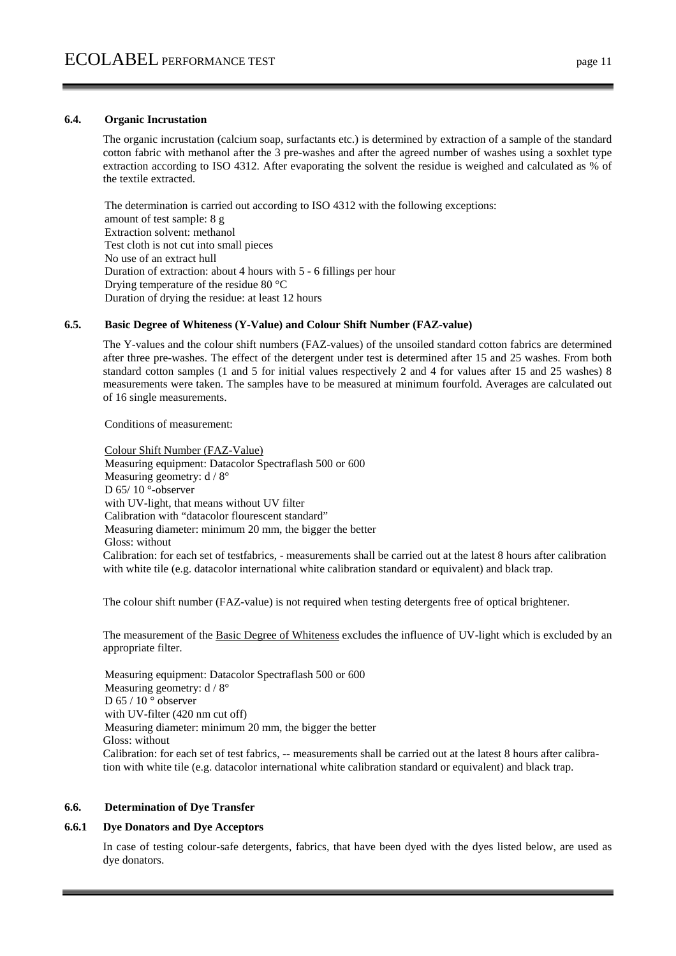#### **6.4. Organic Incrustation**

The organic incrustation (calcium soap, surfactants etc.) is determined by extraction of a sample of the standard cotton fabric with methanol after the 3 pre-washes and after the agreed number of washes using a soxhlet type extraction according to ISO 4312. After evaporating the solvent the residue is weighed and calculated as % of the textile extracted.

The determination is carried out according to ISO 4312 with the following exceptions: amount of test sample: 8 g Extraction solvent: methanol Test cloth is not cut into small pieces No use of an extract hull Duration of extraction: about 4 hours with 5 - 6 fillings per hour Drying temperature of the residue 80 °C Duration of drying the residue: at least 12 hours

#### **6.5. Basic Degree of Whiteness (Y-Value) and Colour Shift Number (FAZ-value)**

The Y-values and the colour shift numbers (FAZ-values) of the unsoiled standard cotton fabrics are determined after three pre-washes. The effect of the detergent under test is determined after 15 and 25 washes. From both standard cotton samples (1 and 5 for initial values respectively 2 and 4 for values after 15 and 25 washes) 8 measurements were taken. The samples have to be measured at minimum fourfold. Averages are calculated out of 16 single measurements.

Conditions of measurement:

Colour Shift Number (FAZ-Value) Measuring equipment: Datacolor Spectraflash 500 or 600 Measuring geometry: d / 8° D 65/10 °-observer with UV-light, that means without UV filter Calibration with "datacolor flourescent standard" Measuring diameter: minimum 20 mm, the bigger the better Gloss: without Calibration: for each set of testfabrics, - measurements shall be carried out at the latest 8 hours after calibration with white tile (e.g. datacolor international white calibration standard or equivalent) and black trap.

The colour shift number (FAZ-value) is not required when testing detergents free of optical brightener.

The measurement of the Basic Degree of Whiteness excludes the influence of UV-light which is excluded by an appropriate filter.

Measuring equipment: Datacolor Spectraflash 500 or 600 Measuring geometry:  $d / 8^\circ$ D 65 / 10 ° observer with UV-filter (420 nm cut off) Measuring diameter: minimum 20 mm, the bigger the better Gloss: without Calibration: for each set of test fabrics, -- measurements shall be carried out at the latest 8 hours after calibration with white tile (e.g. datacolor international white calibration standard or equivalent) and black trap.

#### **6.6. Determination of Dye Transfer**

#### **6.6.1 Dye Donators and Dye Acceptors**

In case of testing colour-safe detergents, fabrics, that have been dyed with the dyes listed below, are used as dye donators.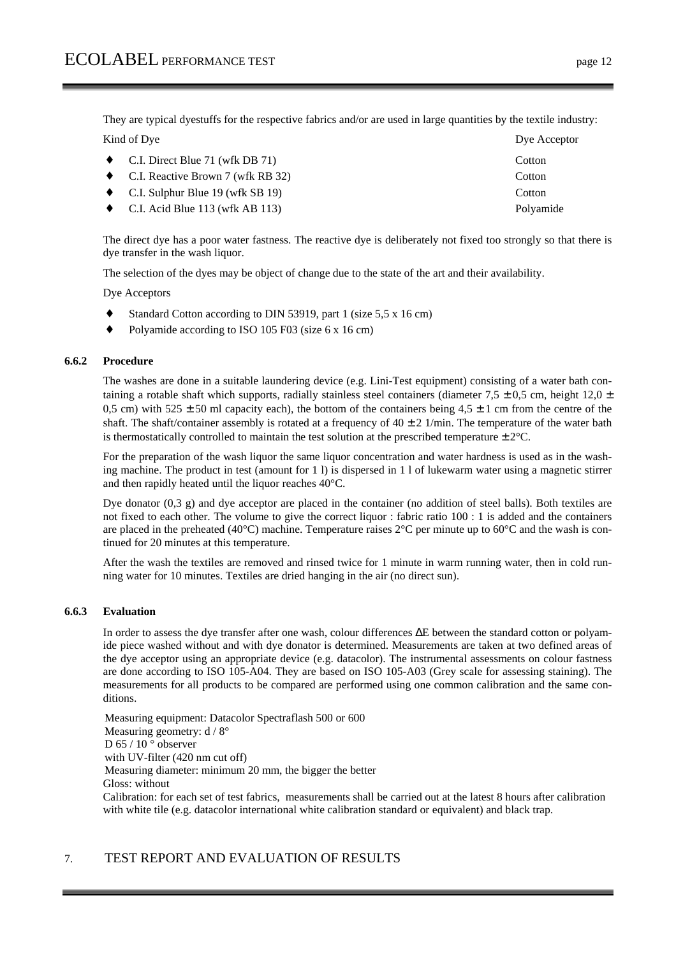They are typical dyestuffs for the respective fabrics and/or are used in large quantities by the textile industry: Kind of Dye Acceptor

| • C.I. Direct Blue 71 (wfk DB 71)          | Cotton    |
|--------------------------------------------|-----------|
| • C.I. Reactive Brown 7 (wfk RB 32)        | Cotton    |
| $\bullet$ C.I. Sulphur Blue 19 (wfk SB 19) | Cotton    |
| • C.I. Acid Blue 113 (wfk AB 113)          | Polyamide |

The direct dye has a poor water fastness. The reactive dye is deliberately not fixed too strongly so that there is dye transfer in the wash liquor.

The selection of the dyes may be object of change due to the state of the art and their availability.

Dye Acceptors

- Standard Cotton according to DIN 53919, part 1 (size 5,5 x 16 cm)
- Polyamide according to ISO 105 F03 (size 6 x 16 cm)

#### **6.6.2 Procedure**

The washes are done in a suitable laundering device (e.g. Lini-Test equipment) consisting of a water bath containing a rotable shaft which supports, radially stainless steel containers (diameter 7,5  $\pm$  0,5 cm, height 12,0  $\pm$ 0,5 cm) with  $525 \pm 50$  ml capacity each), the bottom of the containers being 4,5  $\pm$  1 cm from the centre of the shaft. The shaft/container assembly is rotated at a frequency of  $40 \pm 2$  1/min. The temperature of the water bath is thermostatically controlled to maintain the test solution at the prescribed temperature  $\pm 2^{\circ}C$ .

For the preparation of the wash liquor the same liquor concentration and water hardness is used as in the washing machine. The product in test (amount for 1 l) is dispersed in 1 l of lukewarm water using a magnetic stirrer and then rapidly heated until the liquor reaches 40°C.

Dye donator (0,3 g) and dye acceptor are placed in the container (no addition of steel balls). Both textiles are not fixed to each other. The volume to give the correct liquor : fabric ratio 100 : 1 is added and the containers are placed in the preheated (40°C) machine. Temperature raises 2°C per minute up to 60°C and the wash is continued for 20 minutes at this temperature.

After the wash the textiles are removed and rinsed twice for 1 minute in warm running water, then in cold running water for 10 minutes. Textiles are dried hanging in the air (no direct sun).

#### **6.6.3 Evaluation**

In order to assess the dye transfer after one wash, colour differences ∆E between the standard cotton or polyamide piece washed without and with dye donator is determined. Measurements are taken at two defined areas of the dye acceptor using an appropriate device (e.g. datacolor). The instrumental assessments on colour fastness are done according to ISO 105-A04. They are based on ISO 105-A03 (Grey scale for assessing staining). The measurements for all products to be compared are performed using one common calibration and the same conditions.

Measuring equipment: Datacolor Spectraflash 500 or 600 Measuring geometry:  $d / 8^\circ$ D 65 / 10 ° observer with UV-filter (420 nm cut off) Measuring diameter: minimum 20 mm, the bigger the better Gloss: without Calibration: for each set of test fabrics, measurements shall be carried out at the latest 8 hours after calibration with white tile (e.g. datacolor international white calibration standard or equivalent) and black trap.

# 7. TEST REPORT AND EVALUATION OF RESULTS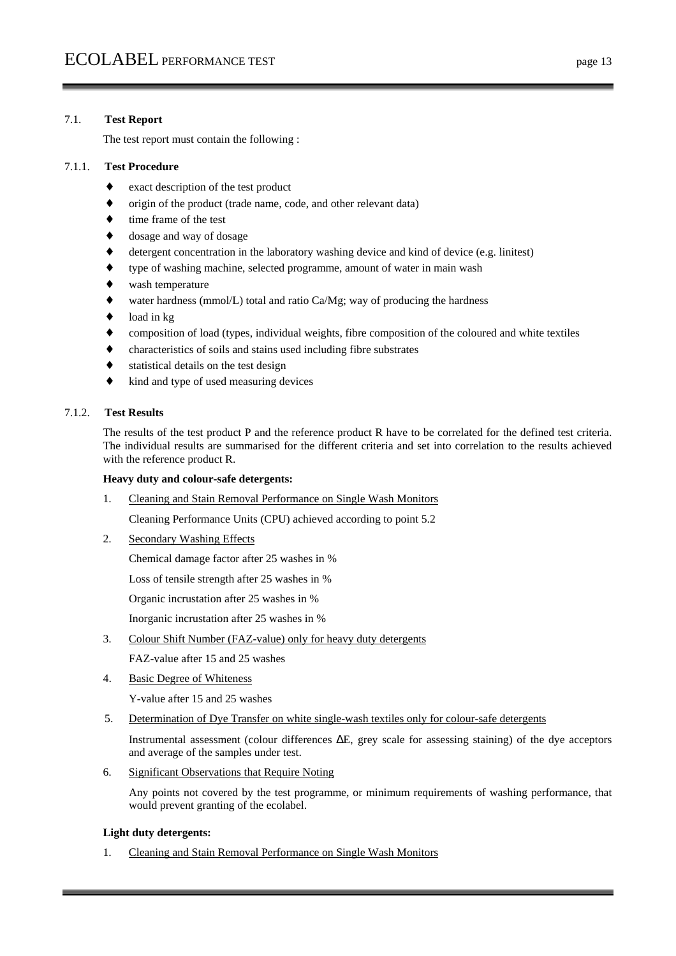# 7.1. **Test Report**

The test report must contain the following :

# 7.1.1. **Test Procedure**

- exact description of the test product
- origin of the product (trade name, code, and other relevant data)
- time frame of the test
- dosage and way of dosage
- detergent concentration in the laboratory washing device and kind of device (e.g. linitest)
- type of washing machine, selected programme, amount of water in main wash
- wash temperature
- water hardness (mmol/L) total and ratio  $Ca/Mg$ ; way of producing the hardness
- load in kg
- composition of load (types, individual weights, fibre composition of the coloured and white textiles
- characteristics of soils and stains used including fibre substrates
- statistical details on the test design
- kind and type of used measuring devices

# 7.1.2. **Test Results**

The results of the test product P and the reference product R have to be correlated for the defined test criteria. The individual results are summarised for the different criteria and set into correlation to the results achieved with the reference product R.

#### **Heavy duty and colour-safe detergents:**

1. Cleaning and Stain Removal Performance on Single Wash Monitors

Cleaning Performance Units (CPU) achieved according to point 5.2

2. Secondary Washing Effects

Chemical damage factor after 25 washes in %

Loss of tensile strength after 25 washes in %

Organic incrustation after 25 washes in %

Inorganic incrustation after 25 washes in %

3. Colour Shift Number (FAZ-value) only for heavy duty detergents

FAZ-value after 15 and 25 washes

4. Basic Degree of Whiteness

Y-value after 15 and 25 washes

5. Determination of Dye Transfer on white single-wash textiles only for colour-safe detergents

 Instrumental assessment (colour differences ∆E, grey scale for assessing staining) of the dye acceptors and average of the samples under test.

6. Significant Observations that Require Noting

 Any points not covered by the test programme, or minimum requirements of washing performance, that would prevent granting of the ecolabel.

#### **Light duty detergents:**

1. Cleaning and Stain Removal Performance on Single Wash Monitors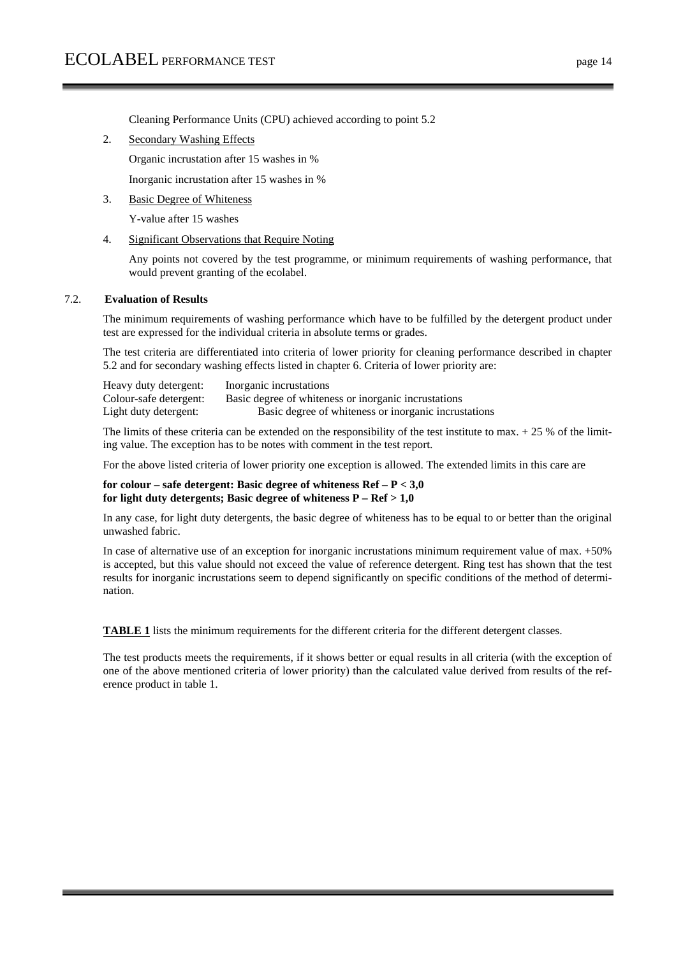Cleaning Performance Units (CPU) achieved according to point 5.2

2. Secondary Washing Effects

Organic incrustation after 15 washes in %

Inorganic incrustation after 15 washes in %

3. Basic Degree of Whiteness

Y-value after 15 washes

4. Significant Observations that Require Noting

 Any points not covered by the test programme, or minimum requirements of washing performance, that would prevent granting of the ecolabel.

#### 7.2. **Evaluation of Results**

The minimum requirements of washing performance which have to be fulfilled by the detergent product under test are expressed for the individual criteria in absolute terms or grades.

The test criteria are differentiated into criteria of lower priority for cleaning performance described in chapter 5.2 and for secondary washing effects listed in chapter 6. Criteria of lower priority are:

Heavy duty detergent: Inorganic incrustations Colour-safe detergent: Basic degree of whiteness or inorganic incrustations Light duty detergent: Basic degree of whiteness or inorganic incrustations

The limits of these criteria can be extended on the responsibility of the test institute to max.  $+ 25$  % of the limiting value. The exception has to be notes with comment in the test report.

For the above listed criteria of lower priority one exception is allowed. The extended limits in this care are

#### **for colour – safe detergent: Basic degree of whiteness Ref – P < 3,0 for light duty detergents; Basic degree of whiteness P – Ref > 1,0**

In any case, for light duty detergents, the basic degree of whiteness has to be equal to or better than the original unwashed fabric.

In case of alternative use of an exception for inorganic incrustations minimum requirement value of max. +50% is accepted, but this value should not exceed the value of reference detergent. Ring test has shown that the test results for inorganic incrustations seem to depend significantly on specific conditions of the method of determination.

**TABLE 1** lists the minimum requirements for the different criteria for the different detergent classes.

The test products meets the requirements, if it shows better or equal results in all criteria (with the exception of one of the above mentioned criteria of lower priority) than the calculated value derived from results of the reference product in table 1.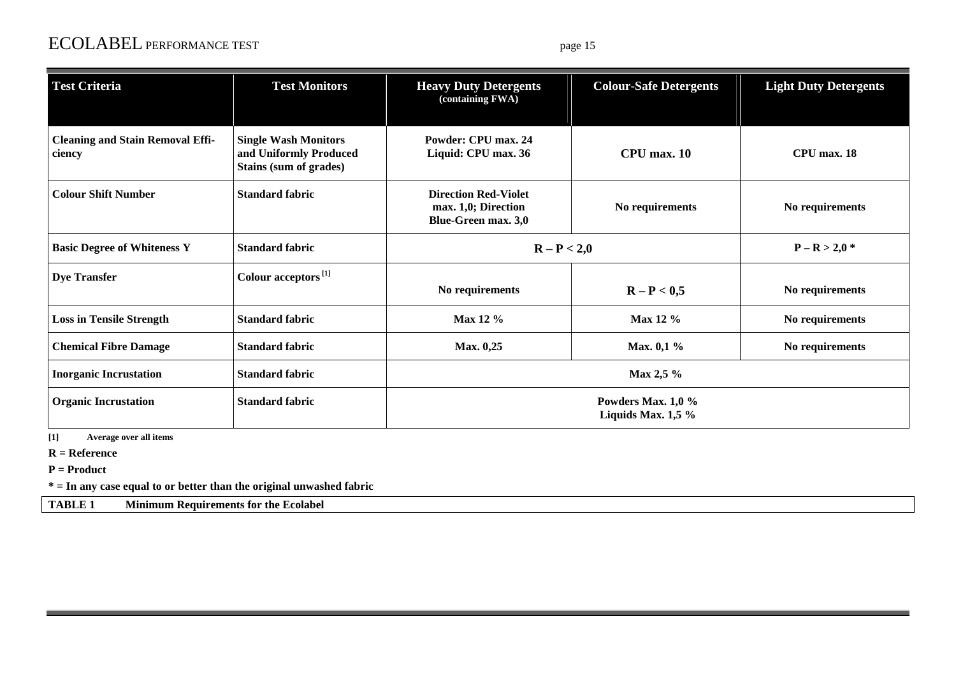# ECOLABEL PERFORMANCE TEST page 15

| <b>Test Criteria</b>                              | <b>Test Monitors</b>                                                            | <b>Heavy Duty Detergents</b><br>(containing FWA)                                 | <b>Colour-Safe Detergents</b>                | <b>Light Duty Detergents</b> |
|---------------------------------------------------|---------------------------------------------------------------------------------|----------------------------------------------------------------------------------|----------------------------------------------|------------------------------|
| <b>Cleaning and Stain Removal Effi-</b><br>ciency | <b>Single Wash Monitors</b><br>and Uniformly Produced<br>Stains (sum of grades) | Powder: CPU max. 24<br>Liquid: CPU max. 36                                       | CPU max. 10                                  | CPU max. 18                  |
| <b>Colour Shift Number</b>                        | <b>Standard fabric</b>                                                          | <b>Direction Red-Violet</b><br>max. 1,0; Direction<br><b>Blue-Green max. 3,0</b> | No requirements                              | No requirements              |
| <b>Basic Degree of Whiteness Y</b>                | <b>Standard fabric</b>                                                          | $R - P < 2,0$                                                                    |                                              | $P - R > 2.0*$               |
| <b>Dye Transfer</b>                               | Colour acceptors <sup>[1]</sup>                                                 | No requirements                                                                  | $R - P < 0.5$                                | No requirements              |
| <b>Loss in Tensile Strength</b>                   | <b>Standard fabric</b>                                                          | Max 12 %                                                                         | Max 12 %                                     | No requirements              |
| <b>Chemical Fibre Damage</b>                      | <b>Standard fabric</b>                                                          | Max. 0,25                                                                        | Max. 0,1 %                                   | No requirements              |
| <b>Inorganic Incrustation</b>                     | <b>Standard fabric</b>                                                          |                                                                                  | Max 2,5 %                                    |                              |
| <b>Organic Incrustation</b>                       | <b>Standard fabric</b>                                                          |                                                                                  | Powders Max. $1,0\%$<br>Liquids Max. $1,5\%$ |                              |

**[1] Average over all items** 

**R = Reference** 

**P = Product** 

**\* = In any case equal to or better than the original unwashed fabric** 

**TABLE 1 Minimum Requirements for the Ecolabel**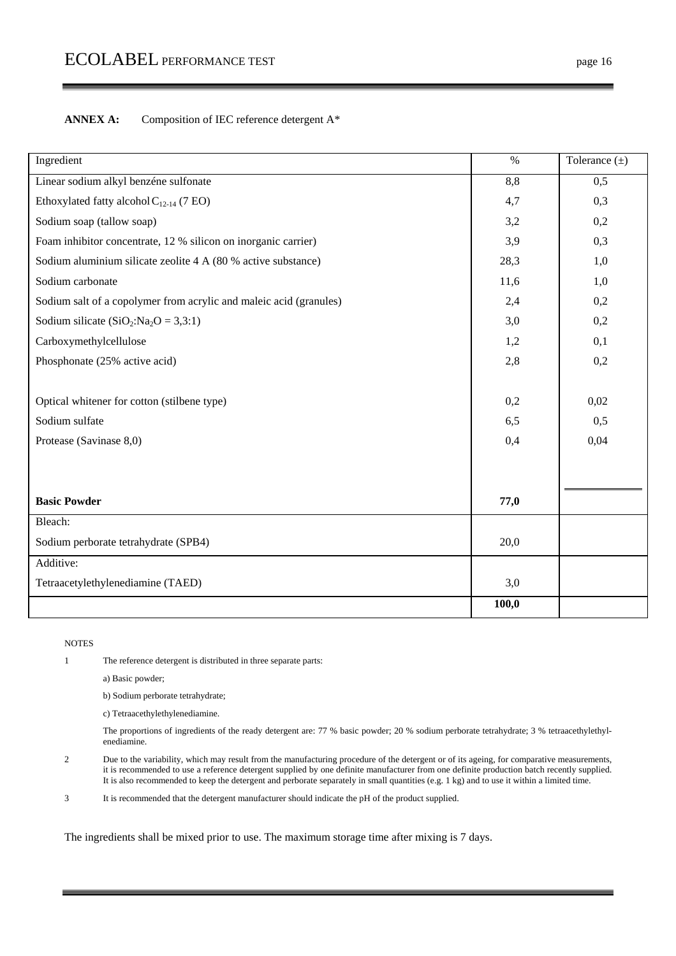| Ingredient                                                         | $\%$  | Tolerance $(\pm)$ |
|--------------------------------------------------------------------|-------|-------------------|
| Linear sodium alkyl benzéne sulfonate                              | 8,8   | 0,5               |
| Ethoxylated fatty alcohol $C_{12-14}$ (7 EO)                       | 4,7   | 0,3               |
| Sodium soap (tallow soap)                                          | 3,2   | 0,2               |
| Foam inhibitor concentrate, 12 % silicon on inorganic carrier)     | 3,9   | 0,3               |
| Sodium aluminium silicate zeolite 4 A (80 % active substance)      | 28,3  | 1,0               |
| Sodium carbonate                                                   | 11,6  | 1,0               |
| Sodium salt of a copolymer from acrylic and maleic acid (granules) | 2,4   | 0,2               |
| Sodium silicate (SiO <sub>2</sub> :Na <sub>2</sub> O = 3,3:1)      | 3,0   | 0,2               |
| Carboxymethylcellulose                                             | 1,2   | 0,1               |
| Phosphonate (25% active acid)                                      | 2,8   | 0,2               |
|                                                                    |       |                   |
| Optical whitener for cotton (stilbene type)                        | 0,2   | 0,02              |
| Sodium sulfate                                                     | 6,5   | 0,5               |
| Protease (Savinase 8,0)                                            | 0,4   | 0,04              |
|                                                                    |       |                   |
|                                                                    |       |                   |
| <b>Basic Powder</b>                                                | 77,0  |                   |
| Bleach:                                                            |       |                   |
| Sodium perborate tetrahydrate (SPB4)                               | 20,0  |                   |
| Additive:                                                          |       |                   |
| Tetraacetylethylenediamine (TAED)                                  | 3,0   |                   |
|                                                                    | 100,0 |                   |

#### **NOTES**

1 The reference detergent is distributed in three separate parts:

a) Basic powder;

b) Sodium perborate tetrahydrate;

c) Tetraacethylethylenediamine.

The proportions of ingredients of the ready detergent are: 77 % basic powder; 20 % sodium perborate tetrahydrate; 3 % tetraacethylethylenediamine.

2 Due to the variability, which may result from the manufacturing procedure of the detergent or of its ageing, for comparative measurements, it is recommended to use a reference detergent supplied by one definite manufacturer from one definite production batch recently supplied. It is also recommended to keep the detergent and perborate separately in small quantities (e.g. 1 kg) and to use it within a limited time.

3 It is recommended that the detergent manufacturer should indicate the pH of the product supplied.

The ingredients shall be mixed prior to use. The maximum storage time after mixing is 7 days.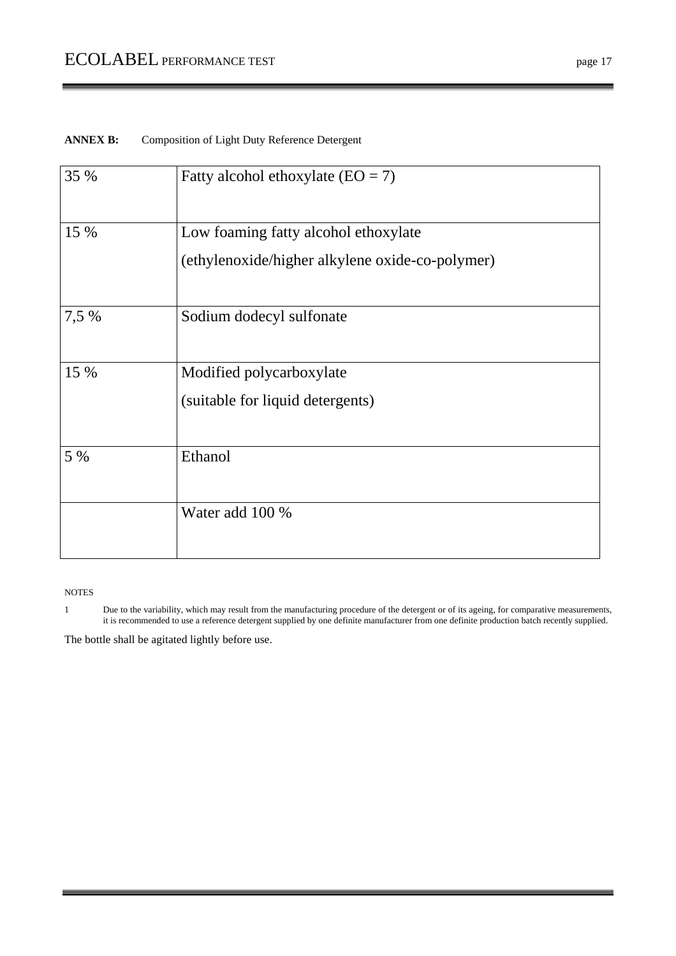# ANNEX B: Composition of Light Duty Reference Detergent

| 35 %  | Fatty alcohol ethoxylate $(EO = 7)$             |
|-------|-------------------------------------------------|
| 15 %  | Low foaming fatty alcohol ethoxylate            |
|       | (ethylenoxide/higher alkylene oxide-co-polymer) |
| 7,5 % | Sodium dodecyl sulfonate                        |
| 15 %  | Modified polycarboxylate                        |
|       | (suitable for liquid detergents)                |
| 5 %   | Ethanol                                         |
|       | Water add 100 %                                 |

#### NOTES

1 Due to the variability, which may result from the manufacturing procedure of the detergent or of its ageing, for comparative measurements, it is recommended to use a reference detergent supplied by one definite manufacturer from one definite production batch recently supplied.

The bottle shall be agitated lightly before use.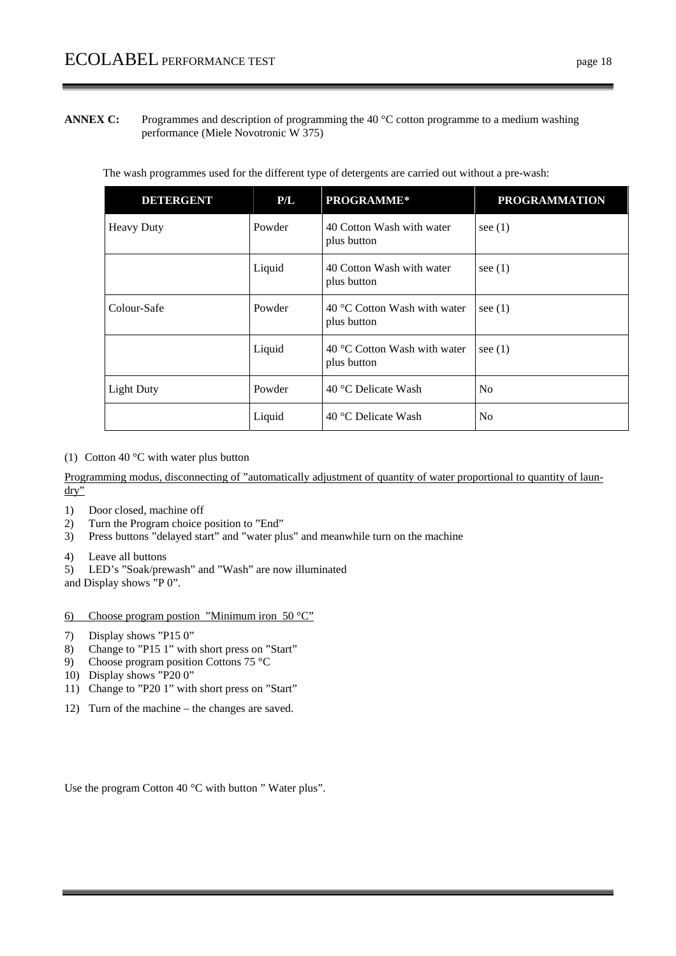**ANNEX C:** Programmes and description of programming the 40 °C cotton programme to a medium washing performance (Miele Novotronic W 375)

| <b>DETERGENT</b>  | P/L    | PROGRAMME*                                  | <b>PROGRAMMATION</b> |
|-------------------|--------|---------------------------------------------|----------------------|
| <b>Heavy Duty</b> | Powder | 40 Cotton Wash with water<br>plus button    | see $(1)$            |
|                   | Liquid | 40 Cotton Wash with water<br>plus button    | see $(1)$            |
| Colour-Safe       | Powder | 40 °C Cotton Wash with water<br>plus button | see $(1)$            |
|                   | Liquid | 40 °C Cotton Wash with water<br>plus button | see $(1)$            |
| <b>Light Duty</b> | Powder | 40 °C Delicate Wash                         | No                   |
|                   | Liquid | 40 °C Delicate Wash                         | N <sub>o</sub>       |

The wash programmes used for the different type of detergents are carried out without a pre-wash:

(1) Cotton 40  $\degree$ C with water plus button

Programming modus, disconnecting of "automatically adjustment of quantity of water proportional to quantity of laun- $\overline{dry}$ 

- 1) Door closed, machine off
- 2) Turn the Program choice position to "End"
- 3) Press buttons "delayed start" and "water plus" and meanwhile turn on the machine
- 4) Leave all buttons
- 5) LED's "Soak/prewash" and "Wash" are now illuminated

and Display shows "P 0".

- 6) Choose program postion "Minimum iron  $50^{\circ}$ C"
- 7) Display shows "P15 0"
- 8) Change to "P15 1" with short press on "Start"
- 9) Choose program position Cottons 75 °C
- 10) Display shows "P20 0"
- 11) Change to "P20 1" with short press on "Start"
- 12) Turn of the machine the changes are saved.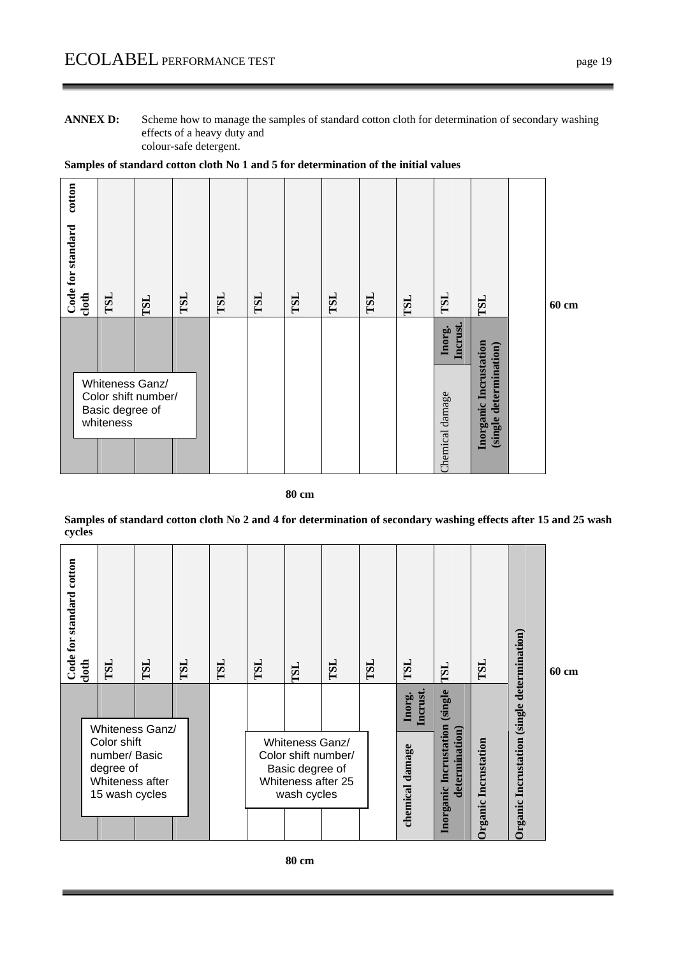**ANNEX D:** Scheme how to manage the samples of standard cotton cloth for determination of secondary washing effects of a heavy duty and colour-safe detergent.



| cotton<br>Code for standard<br>cloth | TSL                                                                    | <b>TSL</b> | TSL | TSL | TSL | TSL | TSL | TSL | TSL | TSL                | TSL                                              | 60 cm |
|--------------------------------------|------------------------------------------------------------------------|------------|-----|-----|-----|-----|-----|-----|-----|--------------------|--------------------------------------------------|-------|
|                                      |                                                                        |            |     |     |     |     |     |     |     | Incrust.<br>Inorg. |                                                  |       |
|                                      | Whiteness Ganz/<br>Color shift number/<br>Basic degree of<br>whiteness |            |     |     |     |     |     |     |     | Chemical damage    | Inorganic Incrustation<br>(single determination) |       |

#### **80 cm**

#### **Samples of standard cotton cloth No 2 and 4 for determination of secondary washing effects after 15 and 25 wash cycles**



 **80 cm**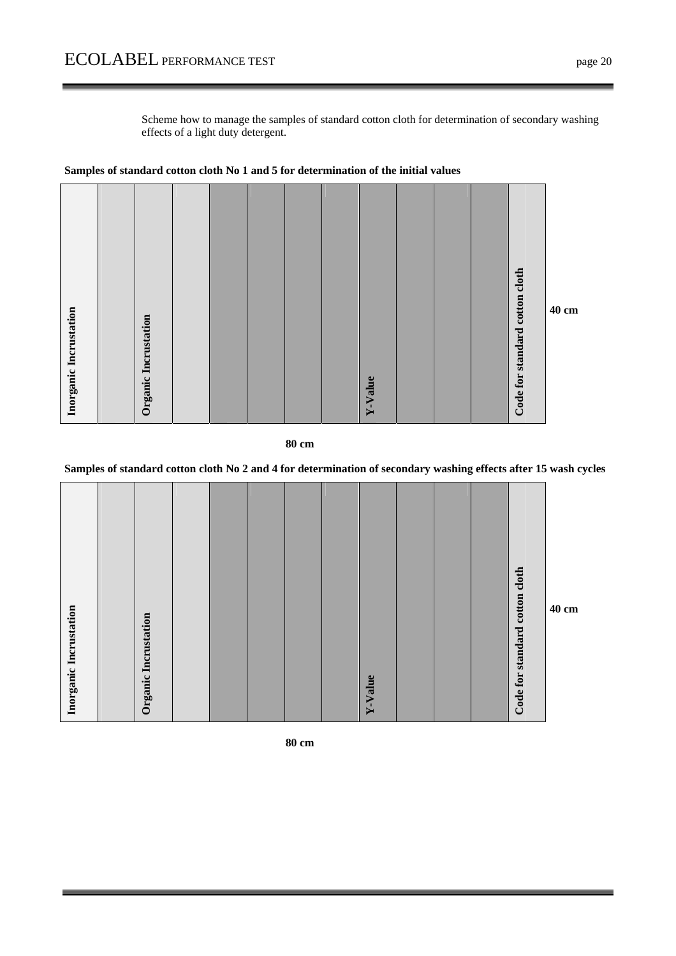Scheme how to manage the samples of standard cotton cloth for determination of secondary washing effects of a light duty detergent.



**Samples of standard cotton cloth No 1 and 5 for determination of the initial values** 

#### **80 cm**

# **Samples of standard cotton cloth No 2 and 4 for determination of secondary washing effects after 15 wash cycles**

| Code for standard cotton cloth<br>Inorganic Incrustation<br>Organic Incrustation<br>Y-Value |
|---------------------------------------------------------------------------------------------|
|---------------------------------------------------------------------------------------------|

 **80 cm**